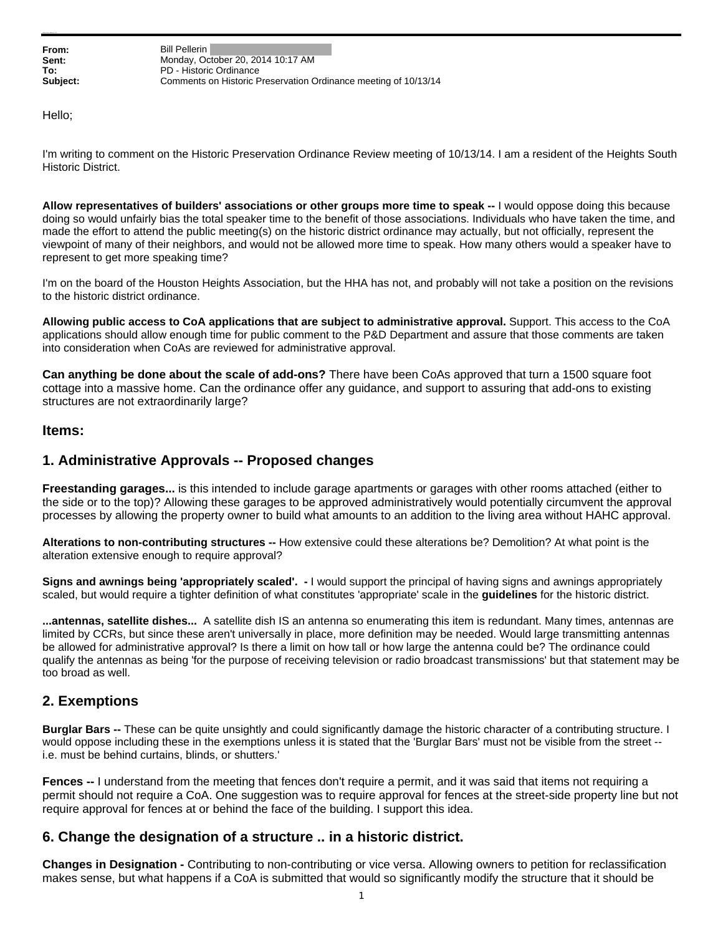**From:** Bill Pellerin **Sent:** Monday, October 20, 2014 10:17 AM **To:** PD - Historic Ordinance **Subject:** Comments on Historic Preservation Ordinance meeting of 10/13/14

Hello;

I'm writing to comment on the Historic Preservation Ordinance Review meeting of 10/13/14. I am a resident of the Heights South Historic District.

**Allow representatives of builders' associations or other groups more time to speak --** I would oppose doing this because doing so would unfairly bias the total speaker time to the benefit of those associations. Individuals who have taken the time, and made the effort to attend the public meeting(s) on the historic district ordinance may actually, but not officially, represent the viewpoint of many of their neighbors, and would not be allowed more time to speak. How many others would a speaker have to represent to get more speaking time?

I'm on the board of the Houston Heights Association, but the HHA has not, and probably will not take a position on the revisions to the historic district ordinance.

**Allowing public access to CoA applications that are subject to administrative approval.** Support. This access to the CoA applications should allow enough time for public comment to the P&D Department and assure that those comments are taken into consideration when CoAs are reviewed for administrative approval.

**Can anything be done about the scale of add-ons?** There have been CoAs approved that turn a 1500 square foot cottage into a massive home. Can the ordinance offer any guidance, and support to assuring that add-ons to existing structures are not extraordinarily large?

#### **Items:**

### **1. Administrative Approvals -- Proposed changes**

**Freestanding garages...** is this intended to include garage apartments or garages with other rooms attached (either to the side or to the top)? Allowing these garages to be approved administratively would potentially circumvent the approval processes by allowing the property owner to build what amounts to an addition to the living area without HAHC approval.

**Alterations to non-contributing structures --** How extensive could these alterations be? Demolition? At what point is the alteration extensive enough to require approval?

**Signs and awnings being 'appropriately scaled'. -** I would support the principal of having signs and awnings appropriately scaled, but would require a tighter definition of what constitutes 'appropriate' scale in the **guidelines** for the historic district.

**...antennas, satellite dishes...** A satellite dish IS an antenna so enumerating this item is redundant. Many times, antennas are limited by CCRs, but since these aren't universally in place, more definition may be needed. Would large transmitting antennas be allowed for administrative approval? Is there a limit on how tall or how large the antenna could be? The ordinance could qualify the antennas as being 'for the purpose of receiving television or radio broadcast transmissions' but that statement may be too broad as well.

# **2. Exemptions**

**Burglar Bars --** These can be quite unsightly and could significantly damage the historic character of a contributing structure. I would oppose including these in the exemptions unless it is stated that the 'Burglar Bars' must not be visible from the street - i.e. must be behind curtains, blinds, or shutters.'

**Fences --** I understand from the meeting that fences don't require a permit, and it was said that items not requiring a permit should not require a CoA. One suggestion was to require approval for fences at the street-side property line but not require approval for fences at or behind the face of the building. I support this idea.

### **6. Change the designation of a structure .. in a historic district.**

**Changes in Designation -** Contributing to non-contributing or vice versa. Allowing owners to petition for reclassification makes sense, but what happens if a CoA is submitted that would so significantly modify the structure that it should be